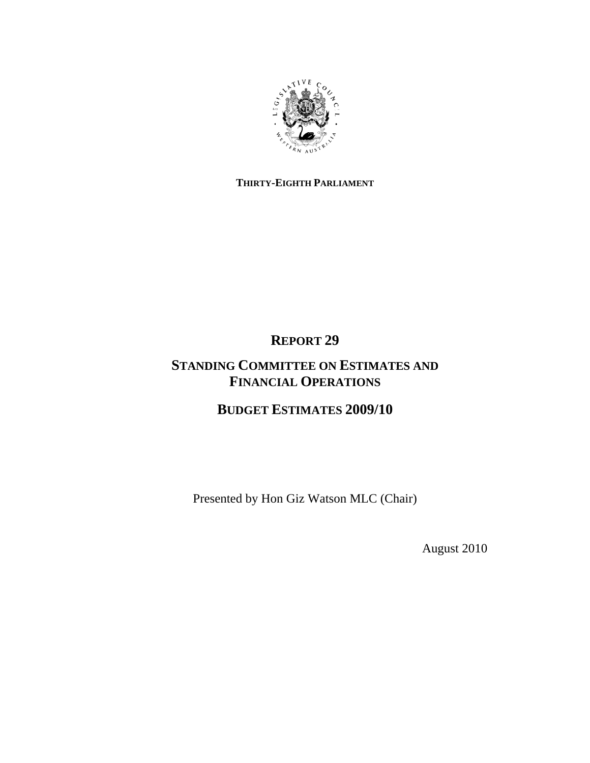

# **THIRTY-EIGHTH PARLIAMENT**

**REPORT 29** 

# **STANDING COMMITTEE ON ESTIMATES AND FINANCIAL OPERATIONS**

**BUDGET ESTIMATES 2009/10** 

Presented by Hon Giz Watson MLC (Chair)

August 2010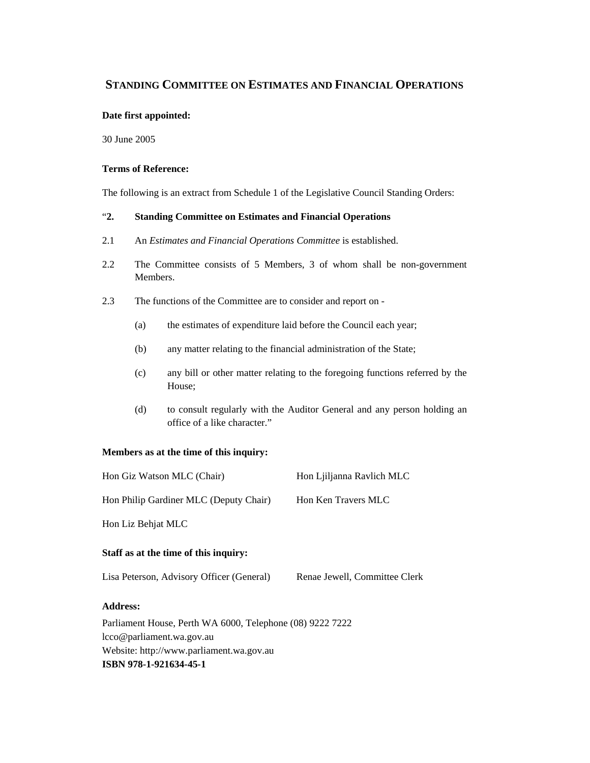## **STANDING COMMITTEE ON ESTIMATES AND FINANCIAL OPERATIONS**

#### **Date first appointed:**

30 June 2005

#### **Terms of Reference:**

The following is an extract from Schedule 1 of the Legislative Council Standing Orders:

#### "**2. Standing Committee on Estimates and Financial Operations**

- 2.1 An *Estimates and Financial Operations Committee* is established.
- 2.2 The Committee consists of 5 Members, 3 of whom shall be non-government Members.
- 2.3 The functions of the Committee are to consider and report on
	- (a) the estimates of expenditure laid before the Council each year;
	- (b) any matter relating to the financial administration of the State;
	- (c) any bill or other matter relating to the foregoing functions referred by the House;
	- (d) to consult regularly with the Auditor General and any person holding an office of a like character."

#### **Members as at the time of this inquiry:**

| Hon Giz Watson MLC (Chair)                                | Hon Ljiljanna Ravlich MLC     |
|-----------------------------------------------------------|-------------------------------|
| Hon Philip Gardiner MLC (Deputy Chair)                    | Hon Ken Travers MLC           |
| Hon Liz Behjat MLC                                        |                               |
| Staff as at the time of this inquiry:                     |                               |
| Lisa Peterson, Advisory Officer (General)                 | Renae Jewell, Committee Clerk |
| <b>Address:</b>                                           |                               |
| Parliament House, Perth WA 6000, Telephone (08) 9222 7222 |                               |
| lcco@parliament.wa.gov.au                                 |                               |
| Website: http://www.parliament.wa.gov.au                  |                               |
| ISBN 978-1-921634-45-1                                    |                               |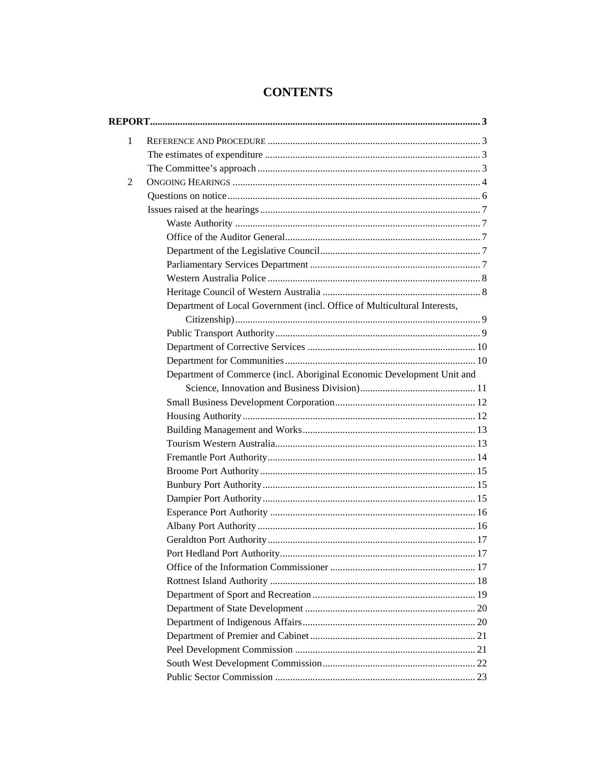| $\mathbf{1}$ |                                                                          |  |
|--------------|--------------------------------------------------------------------------|--|
|              |                                                                          |  |
|              |                                                                          |  |
| 2            |                                                                          |  |
|              |                                                                          |  |
|              |                                                                          |  |
|              |                                                                          |  |
|              |                                                                          |  |
|              |                                                                          |  |
|              |                                                                          |  |
|              |                                                                          |  |
|              |                                                                          |  |
|              | Department of Local Government (incl. Office of Multicultural Interests, |  |
|              |                                                                          |  |
|              |                                                                          |  |
|              |                                                                          |  |
|              |                                                                          |  |
|              | Department of Commerce (incl. Aboriginal Economic Development Unit and   |  |
|              |                                                                          |  |
|              |                                                                          |  |
|              |                                                                          |  |
|              |                                                                          |  |
|              |                                                                          |  |
|              |                                                                          |  |
|              |                                                                          |  |
|              |                                                                          |  |
|              |                                                                          |  |
|              |                                                                          |  |
|              |                                                                          |  |
|              |                                                                          |  |
|              |                                                                          |  |
|              |                                                                          |  |
|              |                                                                          |  |
|              |                                                                          |  |
|              |                                                                          |  |
|              |                                                                          |  |
|              |                                                                          |  |
|              |                                                                          |  |
|              |                                                                          |  |
|              |                                                                          |  |

# **CONTENTS**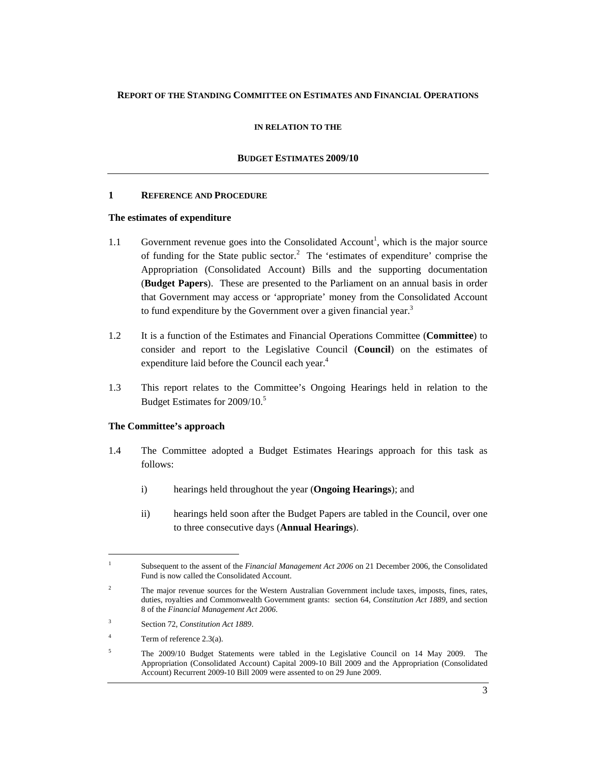## **REPORT OF THE STANDING COMMITTEE ON ESTIMATES AND FINANCIAL OPERATIONS**

#### **IN RELATION TO THE**

#### **BUDGET ESTIMATES 2009/10**

#### **1 REFERENCE AND PROCEDURE**

#### **The estimates of expenditure**

- 1.1 Government revenue goes into the Consolidated Account<sup>1</sup>, which is the major source of funding for the State public sector.<sup>2</sup> The 'estimates of expenditure' comprise the Appropriation (Consolidated Account) Bills and the supporting documentation (**Budget Papers**). These are presented to the Parliament on an annual basis in order that Government may access or 'appropriate' money from the Consolidated Account to fund expenditure by the Government over a given financial year.<sup>3</sup>
- 1.2 It is a function of the Estimates and Financial Operations Committee (**Committee**) to consider and report to the Legislative Council (**Council**) on the estimates of expenditure laid before the Council each year.<sup>4</sup>
- 1.3 This report relates to the Committee's Ongoing Hearings held in relation to the Budget Estimates for 2009/10.<sup>5</sup>

## **The Committee's approach**

- 1.4 The Committee adopted a Budget Estimates Hearings approach for this task as follows:
	- i) hearings held throughout the year (**Ongoing Hearings**); and
	- ii) hearings held soon after the Budget Papers are tabled in the Council, over one to three consecutive days (**Annual Hearings**).

 $\overline{a}$ 

<sup>1</sup> Subsequent to the assent of the *Financial Management Act 2006* on 21 December 2006, the Consolidated Fund is now called the Consolidated Account.

<sup>2</sup> The major revenue sources for the Western Australian Government include taxes, imposts, fines, rates, duties, royalties and Commonwealth Government grants: section 64, *Constitution Act 1889*, and section 8 of the *Financial Management Act 2006*.

<sup>3</sup> Section 72, *Constitution Act 1889*.

<sup>4</sup> Term of reference 2.3(a).

<sup>5</sup> The 2009/10 Budget Statements were tabled in the Legislative Council on 14 May 2009. The Appropriation (Consolidated Account) Capital 2009-10 Bill 2009 and the Appropriation (Consolidated Account) Recurrent 2009-10 Bill 2009 were assented to on 29 June 2009.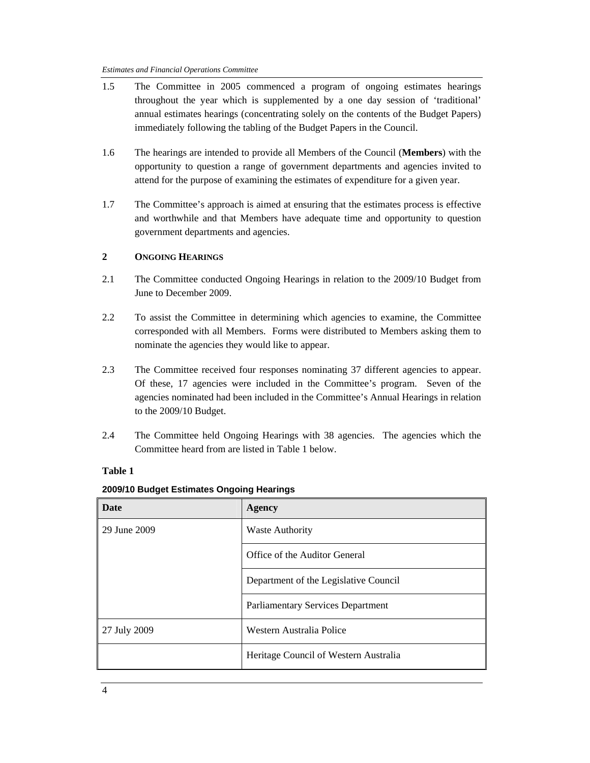#### *Estimates and Financial Operations Committee*

- 1.5 The Committee in 2005 commenced a program of ongoing estimates hearings throughout the year which is supplemented by a one day session of 'traditional' annual estimates hearings (concentrating solely on the contents of the Budget Papers) immediately following the tabling of the Budget Papers in the Council.
- 1.6 The hearings are intended to provide all Members of the Council (**Members**) with the opportunity to question a range of government departments and agencies invited to attend for the purpose of examining the estimates of expenditure for a given year.
- 1.7 The Committee's approach is aimed at ensuring that the estimates process is effective and worthwhile and that Members have adequate time and opportunity to question government departments and agencies.

## **2 ONGOING HEARINGS**

- 2.1 The Committee conducted Ongoing Hearings in relation to the 2009/10 Budget from June to December 2009.
- 2.2 To assist the Committee in determining which agencies to examine, the Committee corresponded with all Members. Forms were distributed to Members asking them to nominate the agencies they would like to appear.
- 2.3 The Committee received four responses nominating 37 different agencies to appear. Of these, 17 agencies were included in the Committee's program. Seven of the agencies nominated had been included in the Committee's Annual Hearings in relation to the 2009/10 Budget.
- 2.4 The Committee held Ongoing Hearings with 38 agencies. The agencies which the Committee heard from are listed in Table 1 below.

## **Table 1**

| <b>Date</b>  | Agency                                   |  |
|--------------|------------------------------------------|--|
| 29 June 2009 | <b>Waste Authority</b>                   |  |
|              | Office of the Auditor General            |  |
|              | Department of the Legislative Council    |  |
|              | <b>Parliamentary Services Department</b> |  |
| 27 July 2009 | Western Australia Police                 |  |
|              | Heritage Council of Western Australia    |  |

#### **2009/10 Budget Estimates Ongoing Hearings**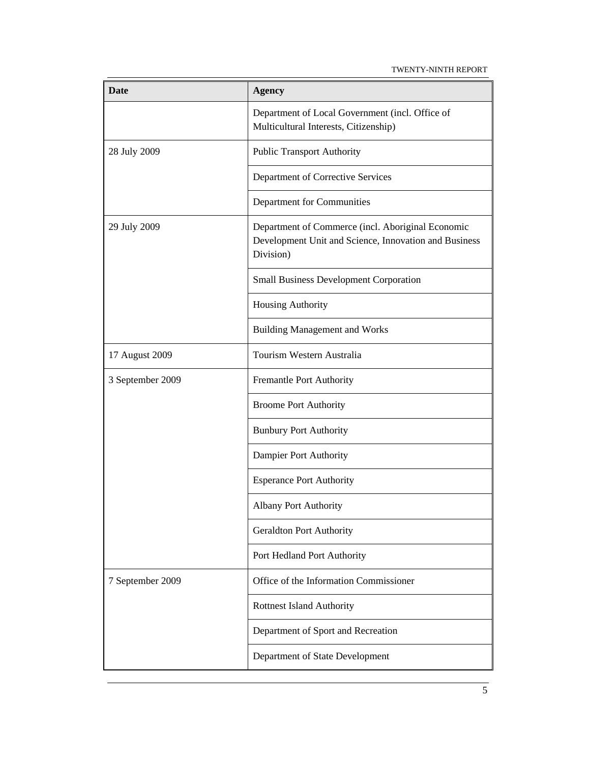TWENTY-NINTH REPORT

| <b>Date</b>      | <b>Agency</b>                                                                                                           |  |
|------------------|-------------------------------------------------------------------------------------------------------------------------|--|
|                  | Department of Local Government (incl. Office of<br>Multicultural Interests, Citizenship)                                |  |
| 28 July 2009     | <b>Public Transport Authority</b>                                                                                       |  |
|                  | Department of Corrective Services                                                                                       |  |
|                  | Department for Communities                                                                                              |  |
| 29 July 2009     | Department of Commerce (incl. Aboriginal Economic<br>Development Unit and Science, Innovation and Business<br>Division) |  |
|                  | <b>Small Business Development Corporation</b>                                                                           |  |
|                  | Housing Authority                                                                                                       |  |
|                  | <b>Building Management and Works</b>                                                                                    |  |
| 17 August 2009   | Tourism Western Australia                                                                                               |  |
| 3 September 2009 | Fremantle Port Authority                                                                                                |  |
|                  | <b>Broome Port Authority</b>                                                                                            |  |
|                  | <b>Bunbury Port Authority</b>                                                                                           |  |
|                  | Dampier Port Authority                                                                                                  |  |
|                  | <b>Esperance Port Authority</b>                                                                                         |  |
|                  | <b>Albany Port Authority</b>                                                                                            |  |
|                  | <b>Geraldton Port Authority</b>                                                                                         |  |
|                  | Port Hedland Port Authority                                                                                             |  |
| 7 September 2009 | Office of the Information Commissioner                                                                                  |  |
|                  | <b>Rottnest Island Authority</b>                                                                                        |  |
|                  | Department of Sport and Recreation                                                                                      |  |
|                  | Department of State Development                                                                                         |  |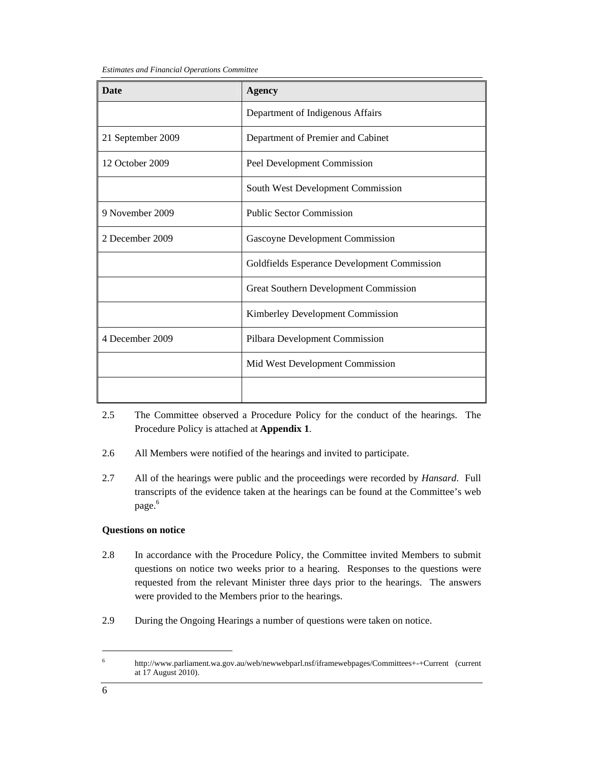*Estimates and Financial Operations Committee* 

| <b>Date</b>       | <b>Agency</b>                                |  |
|-------------------|----------------------------------------------|--|
|                   | Department of Indigenous Affairs             |  |
| 21 September 2009 | Department of Premier and Cabinet            |  |
| 12 October 2009   | Peel Development Commission                  |  |
|                   | South West Development Commission            |  |
| 9 November 2009   | <b>Public Sector Commission</b>              |  |
| 2 December 2009   | Gascoyne Development Commission              |  |
|                   | Goldfields Esperance Development Commission  |  |
|                   | <b>Great Southern Development Commission</b> |  |
|                   | <b>Kimberley Development Commission</b>      |  |
| 4 December 2009   | Pilbara Development Commission               |  |
|                   | Mid West Development Commission              |  |
|                   |                                              |  |

- 2.5 The Committee observed a Procedure Policy for the conduct of the hearings. The Procedure Policy is attached at **Appendix 1**.
- 2.6 All Members were notified of the hearings and invited to participate.
- 2.7 All of the hearings were public and the proceedings were recorded by *Hansard*. Full transcripts of the evidence taken at the hearings can be found at the Committee's web page.<sup>6</sup>

## **Questions on notice**

- 2.8 In accordance with the Procedure Policy, the Committee invited Members to submit questions on notice two weeks prior to a hearing. Responses to the questions were requested from the relevant Minister three days prior to the hearings. The answers were provided to the Members prior to the hearings.
- 2.9 During the Ongoing Hearings a number of questions were taken on notice.

 $\overline{a}$ 

<sup>6</sup> http://www.parliament.wa.gov.au/web/newwebparl.nsf/iframewebpages/Committees+-+Current (current at 17 August 2010).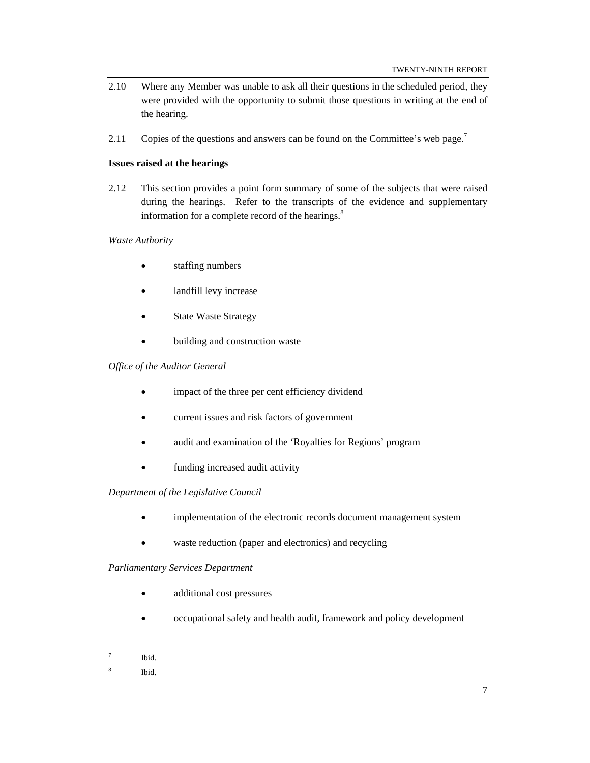- 2.10 Where any Member was unable to ask all their questions in the scheduled period, they were provided with the opportunity to submit those questions in writing at the end of the hearing.
- 2.11 Copies of the questions and answers can be found on the Committee's web page.<sup>7</sup>

#### **Issues raised at the hearings**

2.12 This section provides a point form summary of some of the subjects that were raised during the hearings. Refer to the transcripts of the evidence and supplementary information for a complete record of the hearings.<sup>8</sup>

#### *Waste Authority*

- staffing numbers
- landfill levy increase
- **State Waste Strategy**
- building and construction waste

#### *Office of the Auditor General*

- impact of the three per cent efficiency dividend
- current issues and risk factors of government
- audit and examination of the 'Royalties for Regions' program
- funding increased audit activity

## *Department of the Legislative Council*

- implementation of the electronic records document management system
- waste reduction (paper and electronics) and recycling

## *Parliamentary Services Department*

- additional cost pressures
- occupational safety and health audit, framework and policy development
- 7 Ibid.

 $\overline{a}$ 

8 Ibid.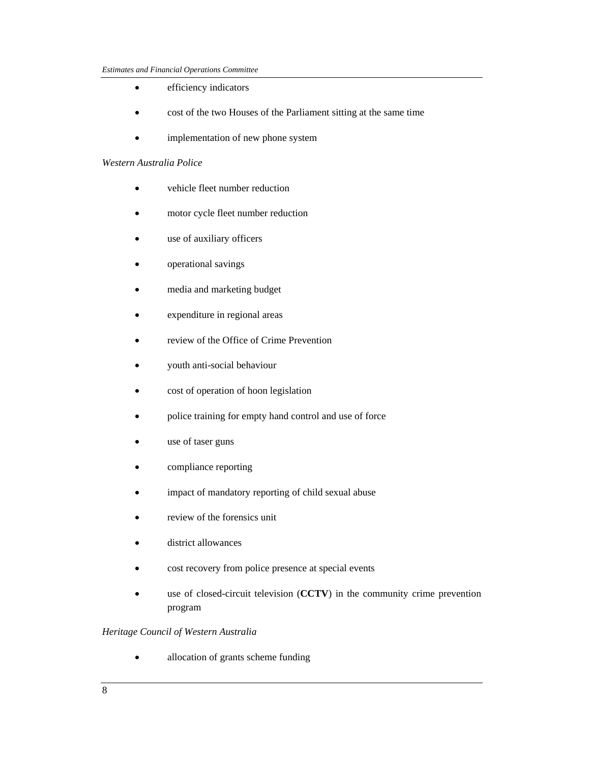- efficiency indicators
- cost of the two Houses of the Parliament sitting at the same time
- implementation of new phone system

#### *Western Australia Police*

- vehicle fleet number reduction
- motor cycle fleet number reduction
- use of auxiliary officers
- operational savings
- media and marketing budget
- expenditure in regional areas
- review of the Office of Crime Prevention
- youth anti-social behaviour
- cost of operation of hoon legislation
- police training for empty hand control and use of force
- use of taser guns
- compliance reporting
- impact of mandatory reporting of child sexual abuse
- review of the forensics unit
- district allowances
- cost recovery from police presence at special events
- use of closed-circuit television (CCTV) in the community crime prevention program

## *Heritage Council of Western Australia*

• allocation of grants scheme funding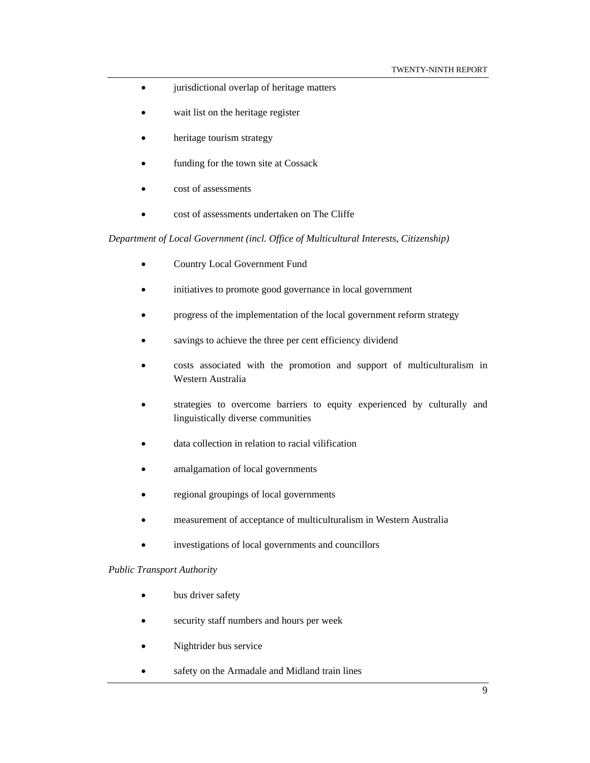- jurisdictional overlap of heritage matters
- wait list on the heritage register
- heritage tourism strategy
- funding for the town site at Cossack
- cost of assessments
- cost of assessments undertaken on The Cliffe

*Department of Local Government (incl. Office of Multicultural Interests, Citizenship)* 

- Country Local Government Fund
- initiatives to promote good governance in local government
- progress of the implementation of the local government reform strategy
- savings to achieve the three per cent efficiency dividend
- costs associated with the promotion and support of multiculturalism in Western Australia
- strategies to overcome barriers to equity experienced by culturally and linguistically diverse communities
- data collection in relation to racial vilification
- amalgamation of local governments
- regional groupings of local governments
- measurement of acceptance of multiculturalism in Western Australia
- investigations of local governments and councillors

#### *Public Transport Authority*

- bus driver safety
- security staff numbers and hours per week
- Nightrider bus service
- safety on the Armadale and Midland train lines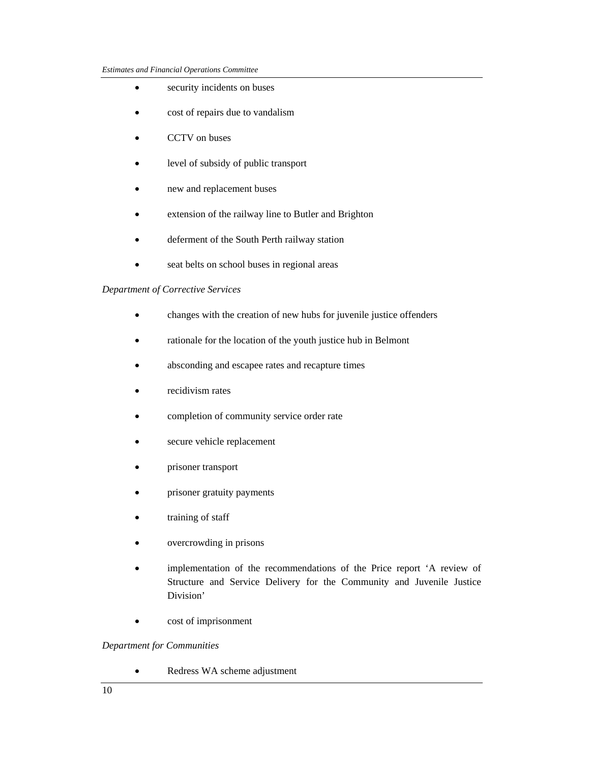- security incidents on buses
- cost of repairs due to vandalism
- CCTV on buses
- level of subsidy of public transport
- new and replacement buses
- extension of the railway line to Butler and Brighton
- deferment of the South Perth railway station
- seat belts on school buses in regional areas

## *Department of Corrective Services*

- changes with the creation of new hubs for juvenile justice offenders
- rationale for the location of the youth justice hub in Belmont
- absconding and escapee rates and recapture times
- recidivism rates
- completion of community service order rate
- secure vehicle replacement
- prisoner transport
- prisoner gratuity payments
- training of staff
- overcrowding in prisons
- implementation of the recommendations of the Price report 'A review of Structure and Service Delivery for the Community and Juvenile Justice Division'
- cost of imprisonment

## *Department for Communities*

• Redress WA scheme adjustment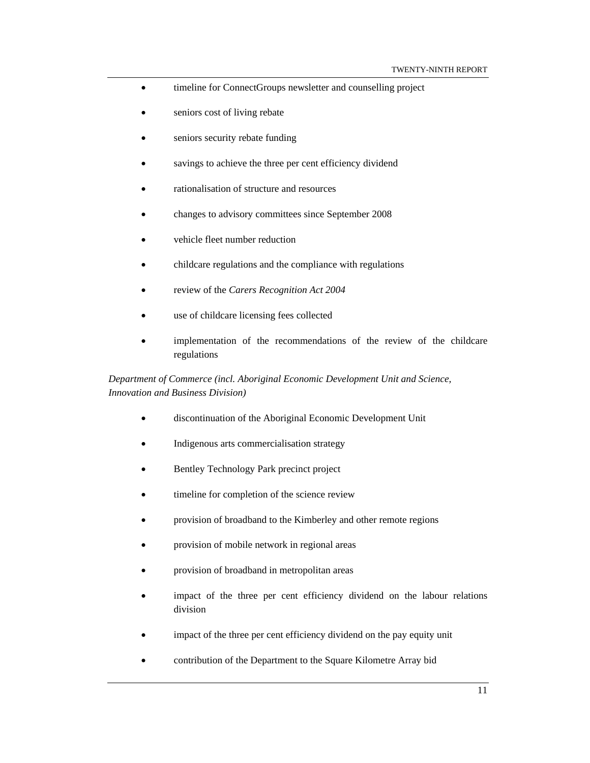- timeline for ConnectGroups newsletter and counselling project
- seniors cost of living rebate
- seniors security rebate funding
- savings to achieve the three per cent efficiency dividend
- rationalisation of structure and resources
- changes to advisory committees since September 2008
- vehicle fleet number reduction
- childcare regulations and the compliance with regulations
- review of the *Carers Recognition Act 2004*
- use of childcare licensing fees collected
- implementation of the recommendations of the review of the childcare regulations

*Department of Commerce (incl. Aboriginal Economic Development Unit and Science, Innovation and Business Division)* 

- discontinuation of the Aboriginal Economic Development Unit
- Indigenous arts commercialisation strategy
- Bentley Technology Park precinct project
- timeline for completion of the science review
- provision of broadband to the Kimberley and other remote regions
- provision of mobile network in regional areas
- provision of broadband in metropolitan areas
- impact of the three per cent efficiency dividend on the labour relations division
- impact of the three per cent efficiency dividend on the pay equity unit
- contribution of the Department to the Square Kilometre Array bid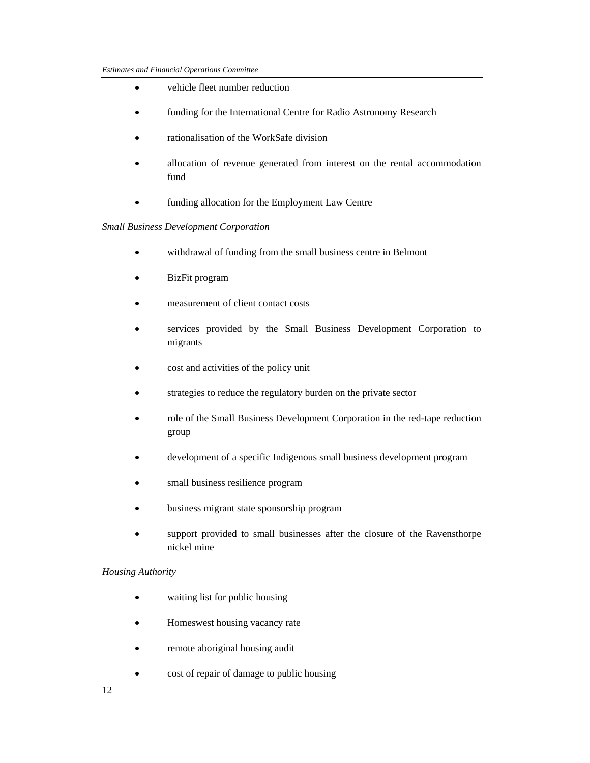- vehicle fleet number reduction
- funding for the International Centre for Radio Astronomy Research
- rationalisation of the WorkSafe division
- allocation of revenue generated from interest on the rental accommodation fund
- funding allocation for the Employment Law Centre

## *Small Business Development Corporation*

- withdrawal of funding from the small business centre in Belmont
- BizFit program
- measurement of client contact costs
- services provided by the Small Business Development Corporation to migrants
- cost and activities of the policy unit
- strategies to reduce the regulatory burden on the private sector
- role of the Small Business Development Corporation in the red-tape reduction group
- development of a specific Indigenous small business development program
- small business resilience program
- business migrant state sponsorship program
- support provided to small businesses after the closure of the Ravensthorpe nickel mine

## *Housing Authority*

- waiting list for public housing
- Homeswest housing vacancy rate
- remote aboriginal housing audit
- cost of repair of damage to public housing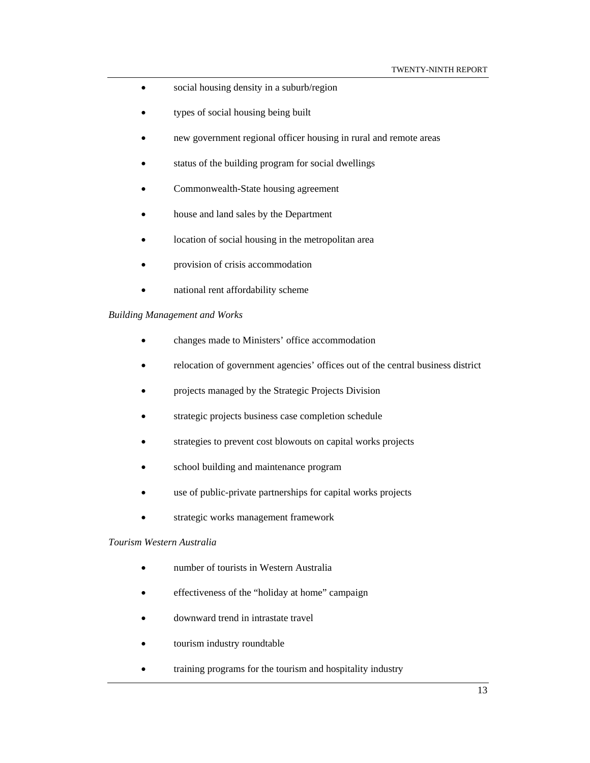- social housing density in a suburb/region
- types of social housing being built
- new government regional officer housing in rural and remote areas
- status of the building program for social dwellings
- Commonwealth-State housing agreement
- house and land sales by the Department
- location of social housing in the metropolitan area
- provision of crisis accommodation
- national rent affordability scheme

#### *Building Management and Works*

- changes made to Ministers' office accommodation
- relocation of government agencies' offices out of the central business district
- projects managed by the Strategic Projects Division
- strategic projects business case completion schedule
- strategies to prevent cost blowouts on capital works projects
- school building and maintenance program
- use of public-private partnerships for capital works projects
- strategic works management framework

## *Tourism Western Australia*

- number of tourists in Western Australia
- effectiveness of the "holiday at home" campaign
- downward trend in intrastate travel
- tourism industry roundtable
- training programs for the tourism and hospitality industry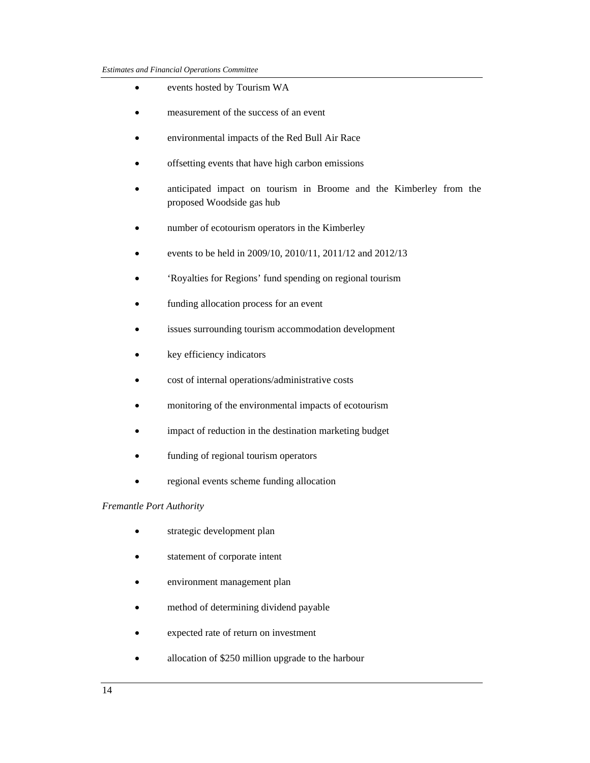- events hosted by Tourism WA
- measurement of the success of an event
- environmental impacts of the Red Bull Air Race
- offsetting events that have high carbon emissions
- anticipated impact on tourism in Broome and the Kimberley from the proposed Woodside gas hub
- number of ecotourism operators in the Kimberley
- events to be held in 2009/10, 2010/11, 2011/12 and 2012/13
- 'Royalties for Regions' fund spending on regional tourism
- funding allocation process for an event
- issues surrounding tourism accommodation development
- key efficiency indicators
- cost of internal operations/administrative costs
- monitoring of the environmental impacts of ecotourism
- impact of reduction in the destination marketing budget
- funding of regional tourism operators
- regional events scheme funding allocation

#### *Fremantle Port Authority*

- strategic development plan
- statement of corporate intent
- environment management plan
- method of determining dividend payable
- expected rate of return on investment
- allocation of \$250 million upgrade to the harbour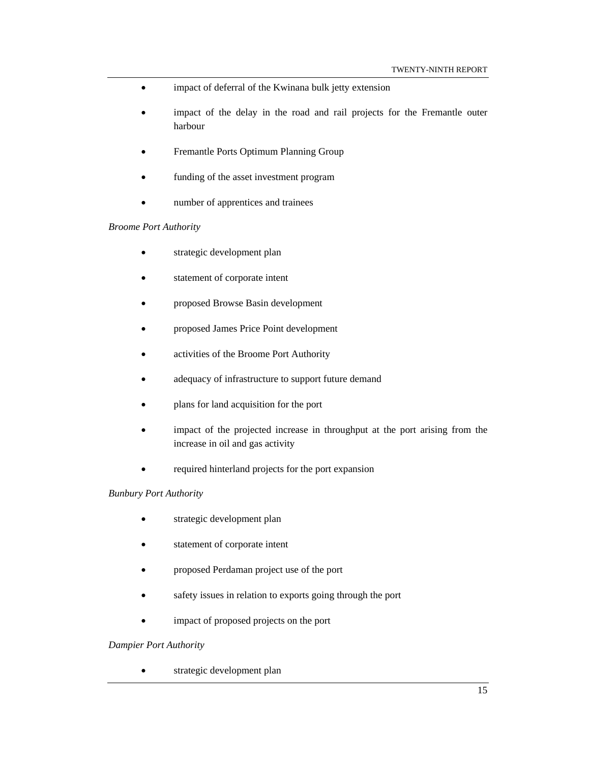- impact of deferral of the Kwinana bulk jetty extension
- impact of the delay in the road and rail projects for the Fremantle outer harbour
- Fremantle Ports Optimum Planning Group
- funding of the asset investment program
- number of apprentices and trainees

#### *Broome Port Authority*

- strategic development plan
- statement of corporate intent
- proposed Browse Basin development
- proposed James Price Point development
- activities of the Broome Port Authority
- adequacy of infrastructure to support future demand
- plans for land acquisition for the port
- impact of the projected increase in throughput at the port arising from the increase in oil and gas activity
- required hinterland projects for the port expansion

## *Bunbury Port Authority*

- strategic development plan
- statement of corporate intent
- proposed Perdaman project use of the port
- safety issues in relation to exports going through the port
- impact of proposed projects on the port

## *Dampier Port Authority*

• strategic development plan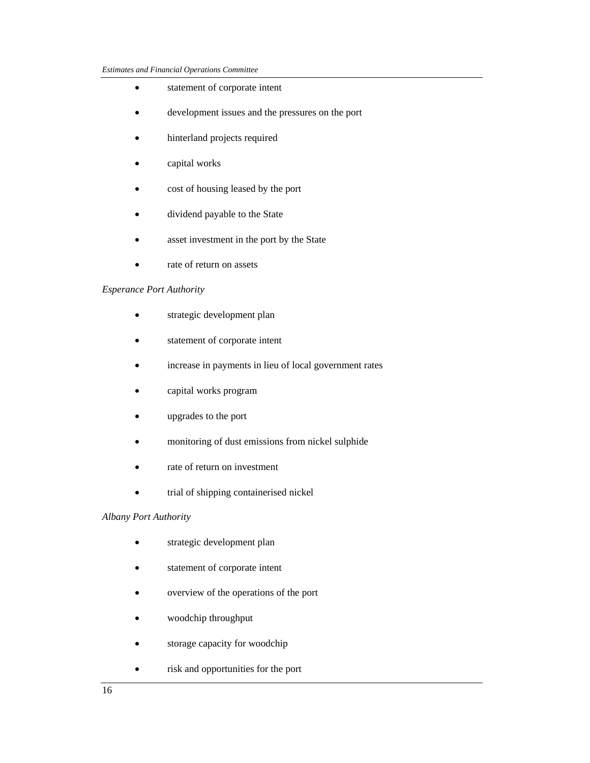- statement of corporate intent
- development issues and the pressures on the port
- hinterland projects required
- capital works
- cost of housing leased by the port
- dividend payable to the State
- asset investment in the port by the State
- rate of return on assets

## *Esperance Port Authority*

- strategic development plan
- statement of corporate intent
- increase in payments in lieu of local government rates
- capital works program
- upgrades to the port
- monitoring of dust emissions from nickel sulphide
- rate of return on investment
- trial of shipping containerised nickel

## *Albany Port Authority*

- strategic development plan
- statement of corporate intent
- overview of the operations of the port
- woodchip throughput
- storage capacity for woodchip
- risk and opportunities for the port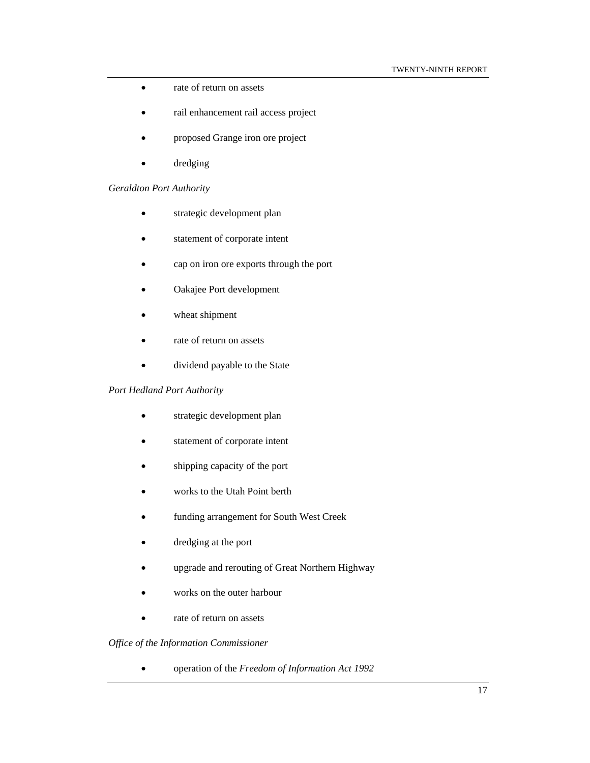- rate of return on assets
- rail enhancement rail access project
- proposed Grange iron ore project
- dredging

## *Geraldton Port Authority*

- strategic development plan
- statement of corporate intent
- cap on iron ore exports through the port
- Oakajee Port development
- wheat shipment
- rate of return on assets
- dividend payable to the State

## *Port Hedland Port Authority*

- strategic development plan
- statement of corporate intent
- shipping capacity of the port
- works to the Utah Point berth
- funding arrangement for South West Creek
- dredging at the port
- upgrade and rerouting of Great Northern Highway
- works on the outer harbour
- rate of return on assets

## *Office of the Information Commissioner*

• operation of the *Freedom of Information Act 1992*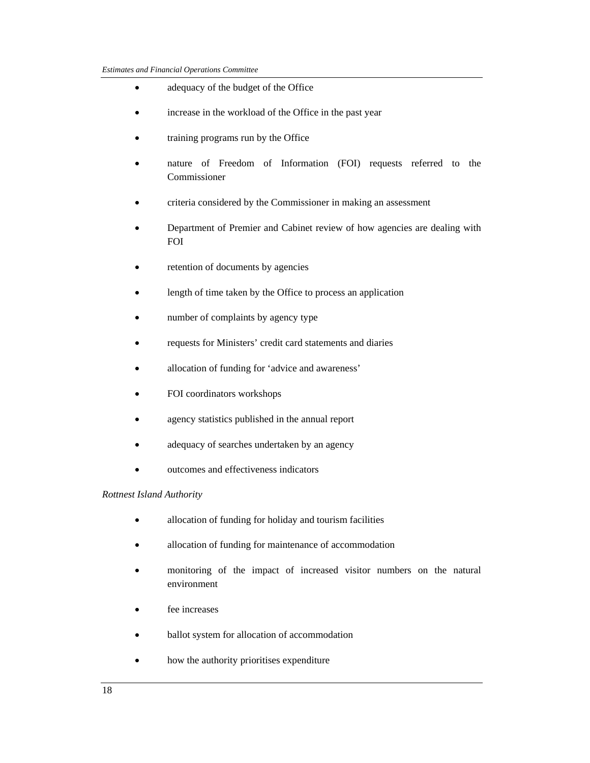- adequacy of the budget of the Office
- increase in the workload of the Office in the past year
- training programs run by the Office
- nature of Freedom of Information (FOI) requests referred to the Commissioner
- criteria considered by the Commissioner in making an assessment
- Department of Premier and Cabinet review of how agencies are dealing with FOI
- retention of documents by agencies
- length of time taken by the Office to process an application
- number of complaints by agency type
- requests for Ministers' credit card statements and diaries
- allocation of funding for 'advice and awareness'
- FOI coordinators workshops
- agency statistics published in the annual report
- adequacy of searches undertaken by an agency
- outcomes and effectiveness indicators

## *Rottnest Island Authority*

- allocation of funding for holiday and tourism facilities
- allocation of funding for maintenance of accommodation
- monitoring of the impact of increased visitor numbers on the natural environment
- fee increases
- ballot system for allocation of accommodation
- how the authority prioritises expenditure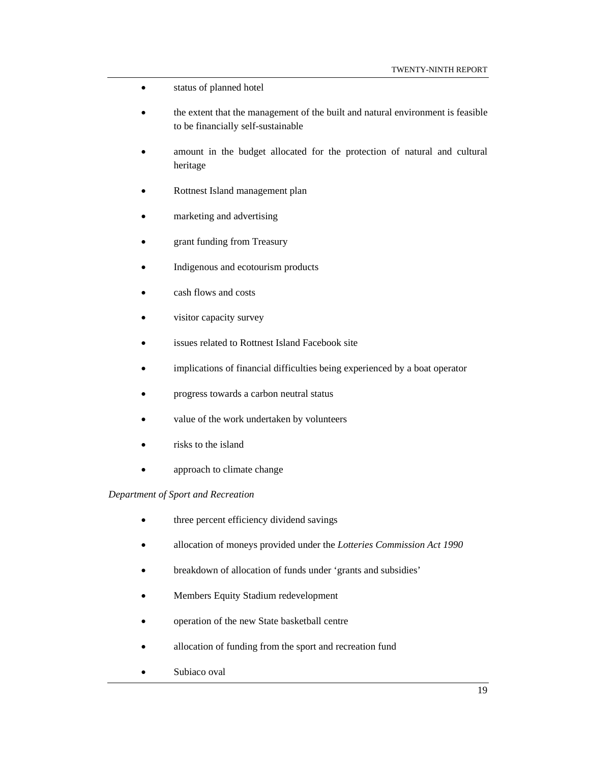- status of planned hotel
- the extent that the management of the built and natural environment is feasible to be financially self-sustainable
- amount in the budget allocated for the protection of natural and cultural heritage
- Rottnest Island management plan
- marketing and advertising
- grant funding from Treasury
- Indigenous and ecotourism products
- cash flows and costs
- visitor capacity survey
- issues related to Rottnest Island Facebook site
- implications of financial difficulties being experienced by a boat operator
- progress towards a carbon neutral status
- value of the work undertaken by volunteers
- risks to the island
- approach to climate change

## *Department of Sport and Recreation*

- three percent efficiency dividend savings
- allocation of moneys provided under the *Lotteries Commission Act 1990*
- breakdown of allocation of funds under 'grants and subsidies'
- Members Equity Stadium redevelopment
- operation of the new State basketball centre
- allocation of funding from the sport and recreation fund
- Subiaco oval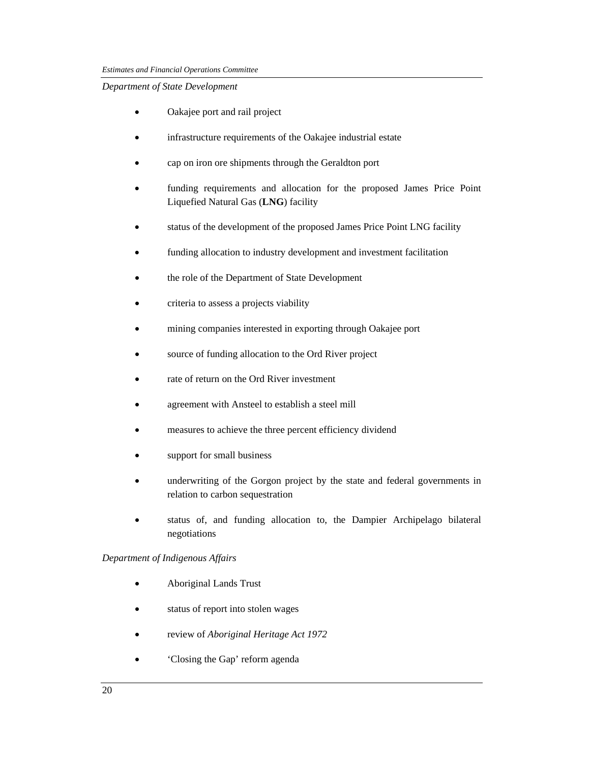## *Department of State Development*

- Oakajee port and rail project
- infrastructure requirements of the Oakajee industrial estate
- cap on iron ore shipments through the Geraldton port
- funding requirements and allocation for the proposed James Price Point Liquefied Natural Gas (**LNG**) facility
- status of the development of the proposed James Price Point LNG facility
- funding allocation to industry development and investment facilitation
- the role of the Department of State Development
- criteria to assess a projects viability
- mining companies interested in exporting through Oakajee port
- source of funding allocation to the Ord River project
- rate of return on the Ord River investment
- agreement with Ansteel to establish a steel mill
- measures to achieve the three percent efficiency dividend
- support for small business
- underwriting of the Gorgon project by the state and federal governments in relation to carbon sequestration
- status of, and funding allocation to, the Dampier Archipelago bilateral negotiations

## *Department of Indigenous Affairs*

- Aboriginal Lands Trust
- status of report into stolen wages
- review of *Aboriginal Heritage Act 1972*
- Closing the Gap' reform agenda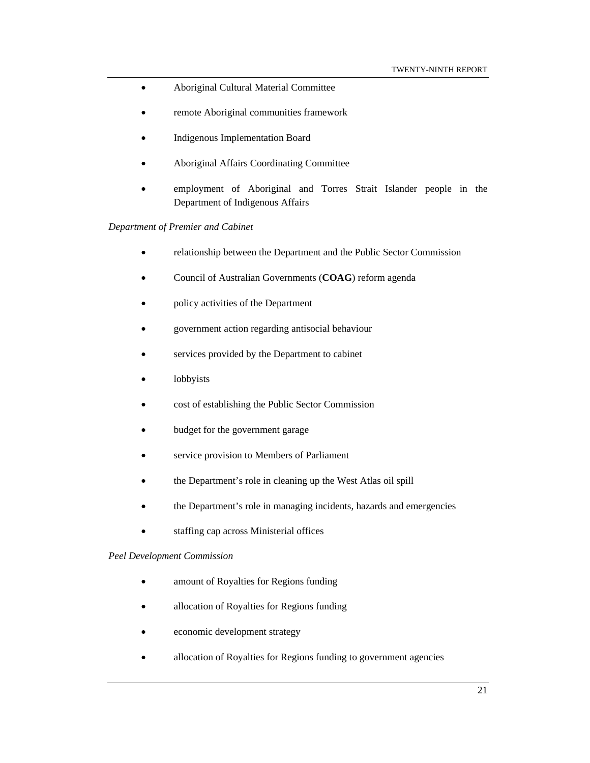- Aboriginal Cultural Material Committee
- remote Aboriginal communities framework
- Indigenous Implementation Board
- Aboriginal Affairs Coordinating Committee
- employment of Aboriginal and Torres Strait Islander people in the Department of Indigenous Affairs

*Department of Premier and Cabinet* 

- relationship between the Department and the Public Sector Commission
- Council of Australian Governments (**COAG**) reform agenda
- policy activities of the Department
- government action regarding antisocial behaviour
- services provided by the Department to cabinet
- lobbyists
- cost of establishing the Public Sector Commission
- budget for the government garage
- service provision to Members of Parliament
- the Department's role in cleaning up the West Atlas oil spill
- the Department's role in managing incidents, hazards and emergencies
- staffing cap across Ministerial offices

#### *Peel Development Commission*

- amount of Royalties for Regions funding
- allocation of Royalties for Regions funding
- economic development strategy
- allocation of Royalties for Regions funding to government agencies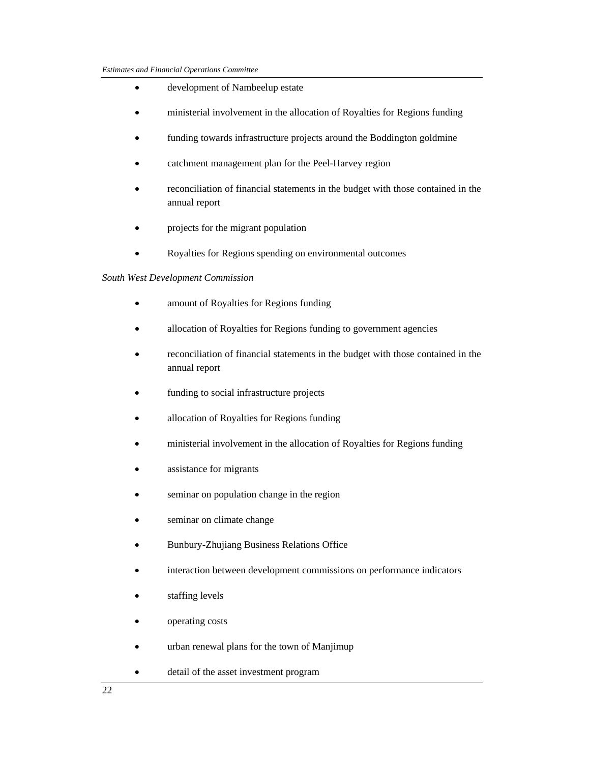- development of Nambeelup estate
- ministerial involvement in the allocation of Royalties for Regions funding
- funding towards infrastructure projects around the Boddington goldmine
- catchment management plan for the Peel-Harvey region
- reconciliation of financial statements in the budget with those contained in the annual report
- projects for the migrant population
- Royalties for Regions spending on environmental outcomes

#### *South West Development Commission*

- amount of Royalties for Regions funding
- allocation of Royalties for Regions funding to government agencies
- reconciliation of financial statements in the budget with those contained in the annual report
- funding to social infrastructure projects
- allocation of Royalties for Regions funding
- ministerial involvement in the allocation of Royalties for Regions funding
- assistance for migrants
- seminar on population change in the region
- seminar on climate change
- Bunbury-Zhujiang Business Relations Office
- interaction between development commissions on performance indicators
- staffing levels
- operating costs
- urban renewal plans for the town of Manjimup
- detail of the asset investment program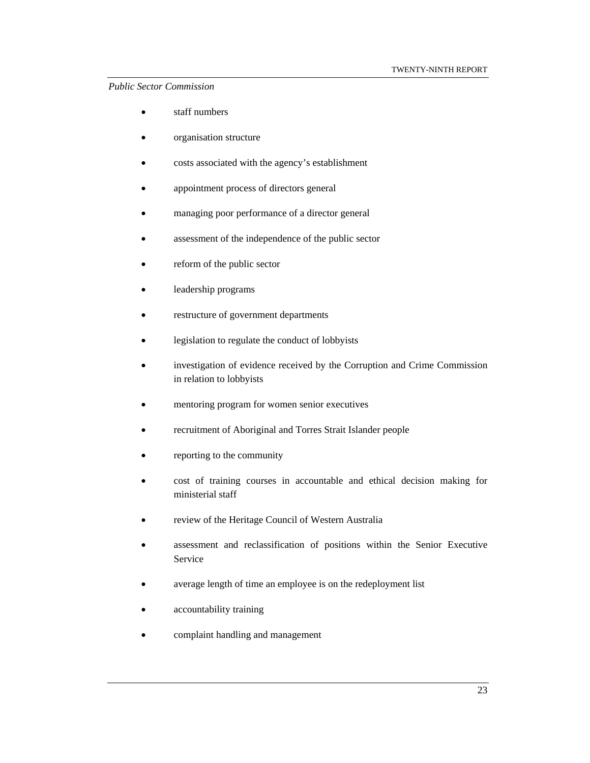## *Public Sector Commission*

- staff numbers
- organisation structure
- costs associated with the agency's establishment
- appointment process of directors general
- managing poor performance of a director general
- assessment of the independence of the public sector
- reform of the public sector
- leadership programs
- restructure of government departments
- legislation to regulate the conduct of lobbyists
- investigation of evidence received by the Corruption and Crime Commission in relation to lobbyists
- mentoring program for women senior executives
- recruitment of Aboriginal and Torres Strait Islander people
- reporting to the community
- cost of training courses in accountable and ethical decision making for ministerial staff
- review of the Heritage Council of Western Australia
- assessment and reclassification of positions within the Senior Executive Service
- average length of time an employee is on the redeployment list
- accountability training
- complaint handling and management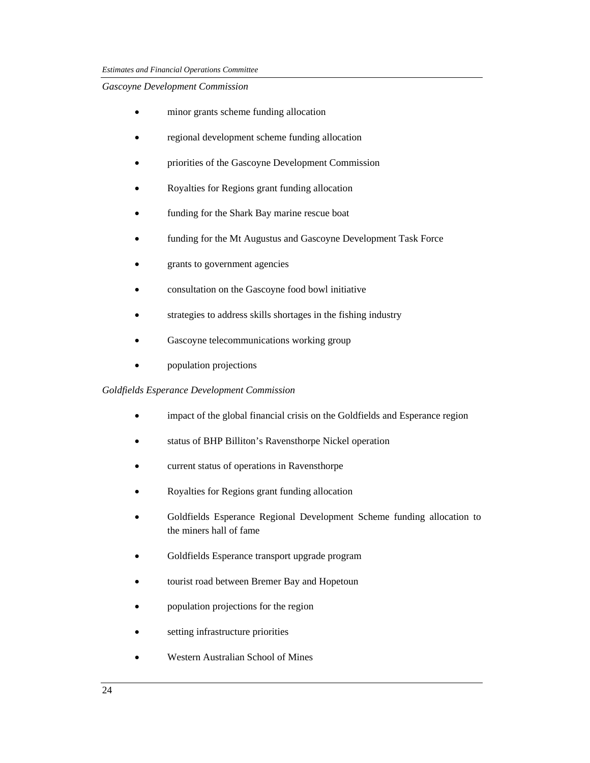## *Gascoyne Development Commission*

- minor grants scheme funding allocation
- regional development scheme funding allocation
- priorities of the Gascoyne Development Commission
- Royalties for Regions grant funding allocation
- funding for the Shark Bay marine rescue boat
- funding for the Mt Augustus and Gascoyne Development Task Force
- grants to government agencies
- consultation on the Gascoyne food bowl initiative
- strategies to address skills shortages in the fishing industry
- Gascoyne telecommunications working group
- population projections

## *Goldfields Esperance Development Commission*

- impact of the global financial crisis on the Goldfields and Esperance region
- status of BHP Billiton's Ravensthorpe Nickel operation
- current status of operations in Ravensthorpe
- Royalties for Regions grant funding allocation
- Goldfields Esperance Regional Development Scheme funding allocation to the miners hall of fame
- Goldfields Esperance transport upgrade program
- tourist road between Bremer Bay and Hopetoun
- population projections for the region
- setting infrastructure priorities
- Western Australian School of Mines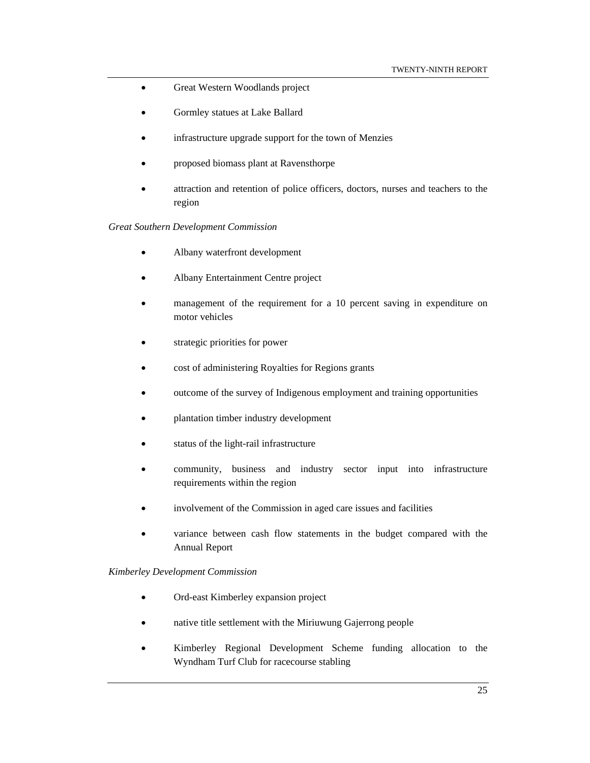- Great Western Woodlands project
- Gormley statues at Lake Ballard
- infrastructure upgrade support for the town of Menzies
- proposed biomass plant at Ravensthorpe
- attraction and retention of police officers, doctors, nurses and teachers to the region

#### *Great Southern Development Commission*

- Albany waterfront development
- Albany Entertainment Centre project
- management of the requirement for a 10 percent saving in expenditure on motor vehicles
- strategic priorities for power
- cost of administering Royalties for Regions grants
- outcome of the survey of Indigenous employment and training opportunities
- plantation timber industry development
- status of the light-rail infrastructure
- community, business and industry sector input into infrastructure requirements within the region
- involvement of the Commission in aged care issues and facilities
- variance between cash flow statements in the budget compared with the Annual Report

## *Kimberley Development Commission*

- Ord-east Kimberley expansion project
- native title settlement with the Miriuwung Gajerrong people
- Kimberley Regional Development Scheme funding allocation to the Wyndham Turf Club for racecourse stabling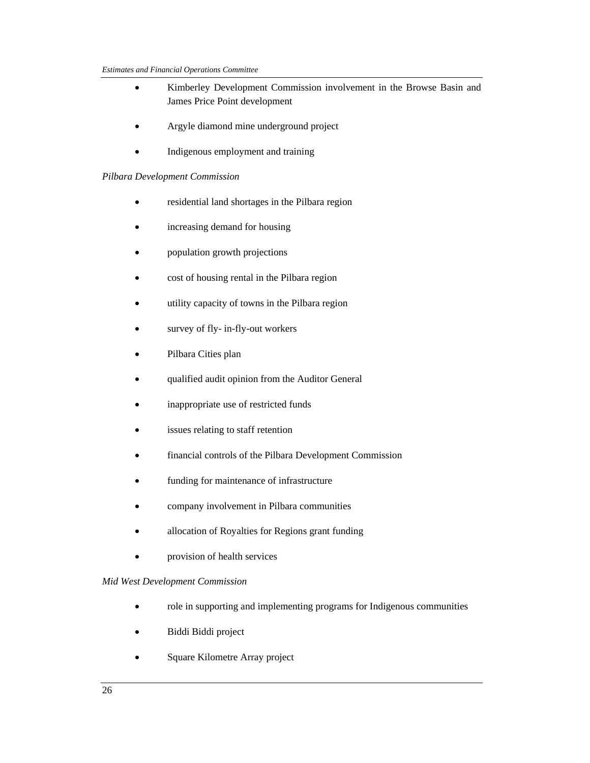- Kimberley Development Commission involvement in the Browse Basin and James Price Point development
- Argyle diamond mine underground project
- Indigenous employment and training

## *Pilbara Development Commission*

- residential land shortages in the Pilbara region
- increasing demand for housing
- population growth projections
- cost of housing rental in the Pilbara region
- utility capacity of towns in the Pilbara region
- survey of fly- in-fly-out workers
- Pilbara Cities plan
- qualified audit opinion from the Auditor General
- inappropriate use of restricted funds
- issues relating to staff retention
- financial controls of the Pilbara Development Commission
- funding for maintenance of infrastructure
- company involvement in Pilbara communities
- allocation of Royalties for Regions grant funding
- provision of health services

## *Mid West Development Commission*

- role in supporting and implementing programs for Indigenous communities
- Biddi Biddi project
- Square Kilometre Array project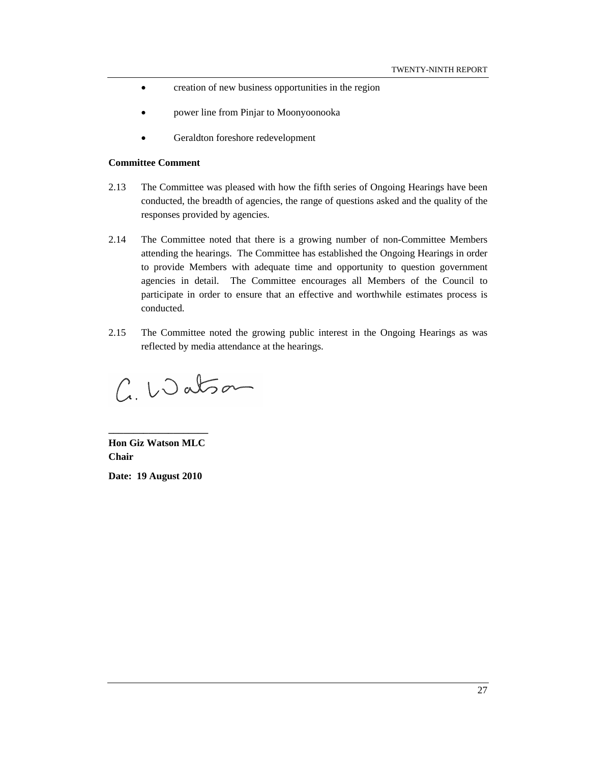- creation of new business opportunities in the region
- power line from Pinjar to Moonyoonooka
- Geraldton foreshore redevelopment

#### **Committee Comment**

- 2.13 The Committee was pleased with how the fifth series of Ongoing Hearings have been conducted, the breadth of agencies, the range of questions asked and the quality of the responses provided by agencies.
- 2.14 The Committee noted that there is a growing number of non-Committee Members attending the hearings. The Committee has established the Ongoing Hearings in order to provide Members with adequate time and opportunity to question government agencies in detail. The Committee encourages all Members of the Council to participate in order to ensure that an effective and worthwhile estimates process is conducted.
- 2.15 The Committee noted the growing public interest in the Ongoing Hearings as was reflected by media attendance at the hearings.

C. Watson

**Hon Giz Watson MLC Chair Date: 19 August 2010** 

**\_\_\_\_\_\_\_\_\_\_\_\_\_\_\_\_\_\_\_\_**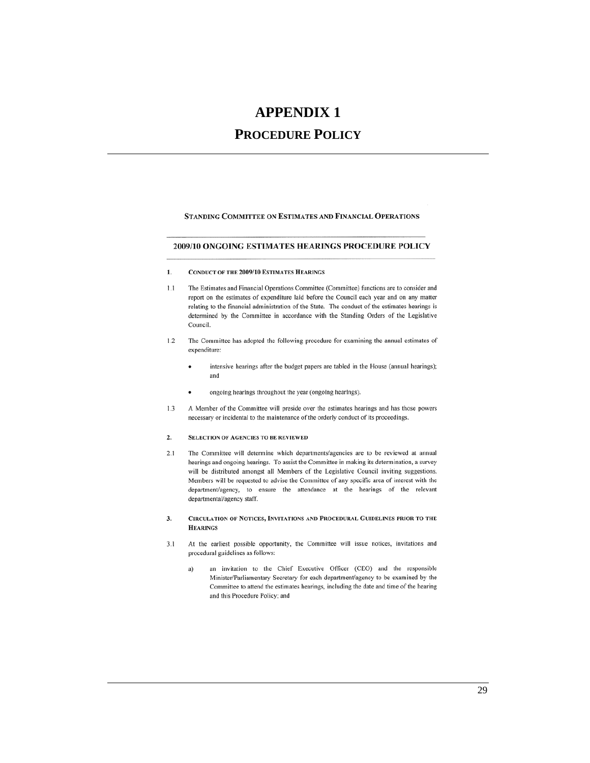# **APPENDIX 1**

# **PROCEDURE POLICY**

STANDING COMMITTEE ON ESTIMATES AND FINANCIAL OPERATIONS

#### 2009/10 ONGOING ESTIMATES HEARINGS PROCEDURE POLICY

- **CONDUCT OF THE 2009/10 ESTIMATES HEARINGS** 1.
- $1.1\,$ The Estimates and Financial Operations Committee (Committee) functions are to consider and report on the estimates of expenditure laid before the Council each year and on any matter relating to the financial administration of the State. The conduct of the estimates hearings is determined by the Committee in accordance with the Standing Orders of the Legislative Council.
- $1.2$ The Committee has adopted the following procedure for examining the annual estimates of expenditure:
	- intensive hearings after the budget papers are tabled in the House (annual hearings); and
	- ongoing hearings throughout the year (ongoing hearings).
- $1.3$ A Member of the Committee will preside over the estimates hearings and has those powers necessary or incidental to the maintenance of the orderly conduct of its proceedings.

#### 2. **SELECTION OF AGENCIES TO BE REVIEWED**

- $2.1$ The Committee will determine which departments/agencies are to be reviewed at annual hearings and ongoing hearings. To assist the Committee in making its determination, a survey will be distributed amongst all Members of the Legislative Council inviting suggestions. Members will be requested to advise the Committee of any specific area of interest with the department/agency, to ensure the attendance at the hearings of the relevant departmental/agency staff.
- CIRCULATION OF NOTICES, INVITATIONS AND PROCEDURAL GUIDELINES PRIOR TO THE 3. **HEARINGS**
- At the earliest possible opportunity, the Committee will issue notices, invitations and  $3.1$ procedural guidelines as follows:
	- an invitation to the Chief Executive Officer (CEO) and the responsible a) Minister/Parliamentary Secretary for each department/agency to be examined by the Committee to attend the estimates hearings, including the date and time of the hearing and this Procedure Policy; and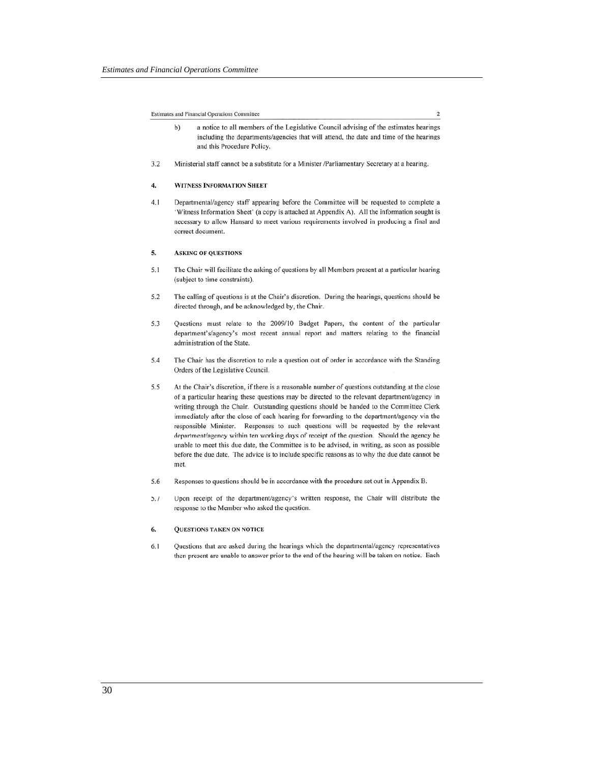Estimates and Financial Operations Committee

a notice to all members of the Legislative Council advising of the estimates hearings  $b)$ including the departments/agencies that will attend, the date and time of the hearings and this Procedure Policy.

 $\overline{2}$ 

Ministerial staff cannot be a substitute for a Minister /Parliamentary Secretary at a hearing.  $3.2$ 

#### 4. WITNESS INFORMATION SHEET

Departmental/agency staff appearing before the Committee will be requested to complete a  $4.1$ 'Witness Information Sheet' (a copy is attached at Appendix A). All the information sought is necessary to allow Hansard to meet various requirements involved in producing a final and correct document.

#### 5. **ASKING OF QUESTIONS**

- $5.1$ The Chair will facilitate the asking of questions by all Members present at a particular hearing (subject to time constraints).
- 5.2 The calling of questions is at the Chair's discretion. During the hearings, questions should be directed through, and be acknowledged by, the Chair.
- 5.3 Questions must relate to the 2009/10 Budget Papers, the content of the particular department's/agency's most recent annual report and matters relating to the financial administration of the State.
- 5.4 The Chair has the discretion to rule a question out of order in accordance with the Standing Orders of the Legislative Council.
- At the Chair's discretion, if there is a reasonable number of questions outstanding at the close 5.5 of a particular hearing these questions may be directed to the relevant department/agency in writing through the Chair. Outstanding questions should be handed to the Committee Clerk immediately after the close of each hearing for forwarding to the department/agency via the responsible Minister. Responses to such questions will be requested by the relevant department/agency within ten working days of receipt of the question. Should the agency be unable to meet this due date, the Committee is to be advised, in writing, as soon as possible before the due date. The advice is to include specific reasons as to why the due date cannot be met.
- 5.6 Responses to questions should be in accordance with the procedure set out in Appendix B.
- 5.7 Upon receipt of the department/agency's written response, the Chair will distribute the response to the Member who asked the question.

#### 6. **QUESTIONS TAKEN ON NOTICE**

 $6.1$ Questions that are asked during the hearings which the departmental/agency representatives then present are unable to answer prior to the end of the hearing will be taken on notice. Each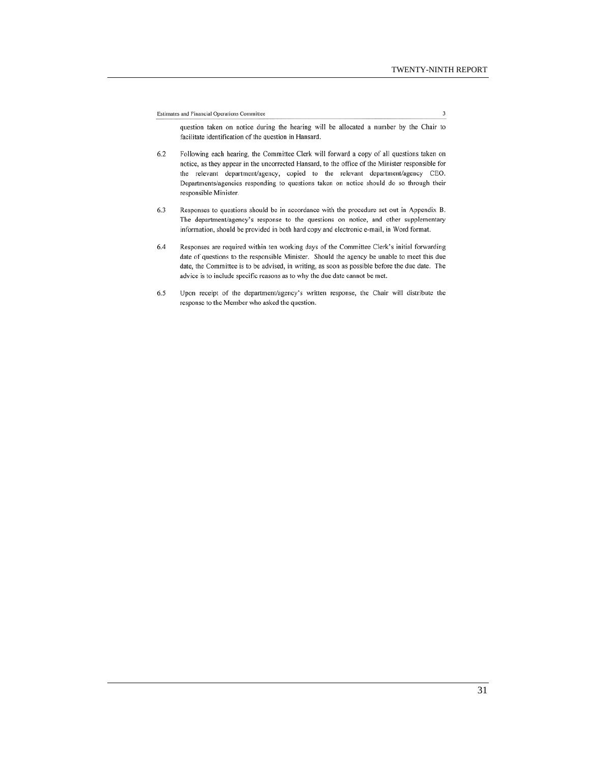Estimates and Financial Operations Committee

 $\overline{3}$ 

question taken on notice during the hearing will be allocated a number by the Chair to facilitate identification of the question in Hansard.

- Following each hearing, the Committee Clerk will forward a copy of all questions taken on 6.2 notice, as they appear in the uncorrected Hansard, to the office of the Minister responsible for the relevant department/agency, copied to the relevant department/agency CEO. Departments/agencies responding to questions taken on notice should do so through their responsible Minister.
- Responses to questions should be in accordance with the procedure set out in Appendix B. 6.3 The department/agency's response to the questions on notice, and other supplementary information, should be provided in both hard copy and electronic e-mail, in Word format.
- 6.4 Responses are required within ten working days of the Committee Clerk's initial forwarding date of questions to the responsible Minister. Should the agency be unable to meet this due date, the Committee is to be advised, in writing, as soon as possible before the due date. The advice is to include specific reasons as to why the due date cannot be met.
- 6.5 Upon receipt of the department/agency's written response, the Chair will distribute the response to the Member who asked the question.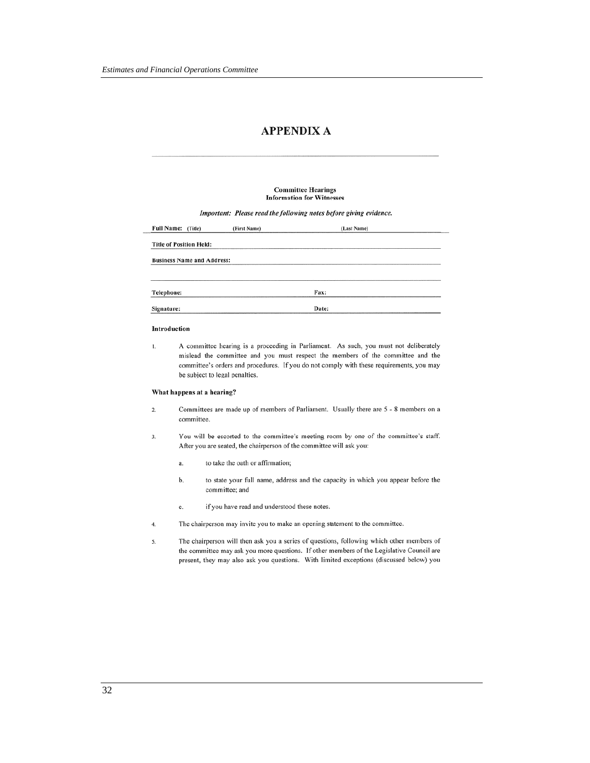## **APPENDIX A**

#### **Committee Hearings Information for Witnesses**

Important: Please read the following notes before giving evidence.

| Full Name: (Title)                | (First Name) | (Last Name) |  |
|-----------------------------------|--------------|-------------|--|
| <b>Title of Position Held:</b>    |              |             |  |
| <b>Business Name and Address:</b> |              |             |  |
| Telephone:                        |              | Fax:        |  |
| Signature:                        |              | Date:       |  |

#### Introduction

A committee hearing is a proceeding in Parliament. As such, you must not deliberately 1. mislead the committee and you must respect the members of the committee and the committee's orders and procedures. If you do not comply with these requirements, you may be subject to legal penalties.

#### What happens at a hearing?

- Committees are made up of members of Parliament. Usually there are 5 8 members on a  $\overline{2}$ . committee.
- You will be escorted to the committee's meeting room by one of the committee's staff. 3. After you are seated, the chairperson of the committee will ask you:
	- to take the oath or affirmation; a.
	- to state your full name, address and the capacity in which you appear before the b. committee; and
	- if you have read and understood these notes.  $\mathbf{c}$ .
- The chairperson may invite you to make an opening statement to the committee.  $4.$
- 5. The chairperson will then ask you a series of questions, following which other members of the committee may ask you more questions. If other members of the Legislative Council are present, they may also ask you questions. With limited exceptions (discussed below) you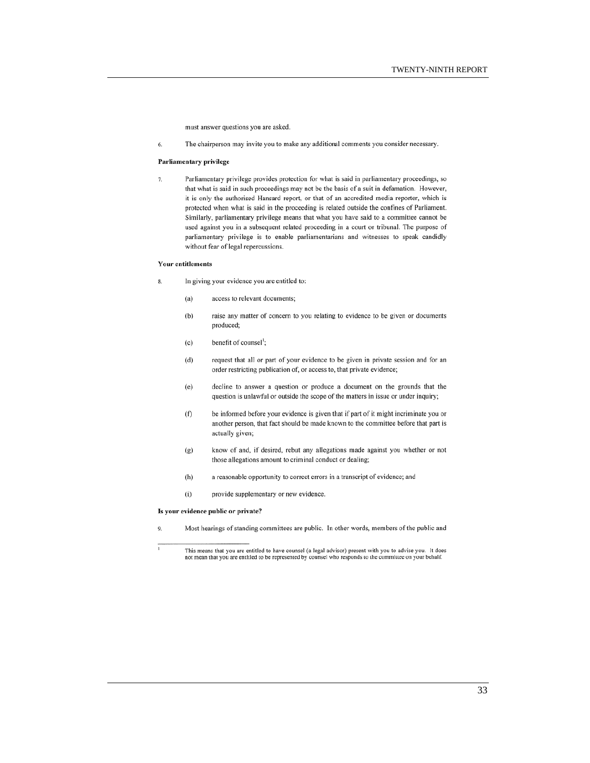must answer questions you are asked.

6. The chairperson may invite you to make any additional comments you consider necessary.

#### Parliamentary privilege

 $\overline{7}$ Parliamentary privilege provides protection for what is said in parliamentary proceedings, so that what is said in such proceedings may not be the basis of a suit in defamation. However, it is only the authorised Hansard report, or that of an accredited media reporter, which is protected when what is said in the proceeding is related outside the confines of Parliament. Similarly, parliamentary privilege means that what you have said to a committee cannot be used against you in a subsequent related proceeding in a court or tribunal. The purpose of parliamentary privilege is to enable parliamentarians and witnesses to speak candidly without fear of legal repercussions.

#### **Your entitlements**

- In giving your evidence you are entitled to: 8.
	- access to relevant documents;  $(a)$
	- $(b)$ raise any matter of concern to you relating to evidence to be given or documents produced;
	- $(c)$ benefit of counsel<sup>1</sup>;
	- $(d)$ request that all or part of your evidence to be given in private session and for an order restricting publication of, or access to, that private evidence;
	- $(e)$ decline to answer a question or produce a document on the grounds that the question is unlawful or outside the scope of the matters in issue or under inquiry;
	- $(f)$ be informed before your evidence is given that if part of it might incriminate you or another person, that fact should be made known to the committee before that part is actually given;
	- $(g)$ know of and, if desired, rebut any allegations made against you whether or not those allegations amount to criminal conduct or dealing;
	- $(h)$ a reasonable opportunity to correct errors in a transcript of evidence; and
	- $(i)$ provide supplementary or new evidence.

#### Is your evidence public or private?

 $\overline{Q}$ Most hearings of standing committees are public. In other words, members of the public and

This means that you are entitled to have counsel (a legal advisor) present with you to advise you. It does not mean that you are entitled to be represented by counsel who responds to the committee on your behalf.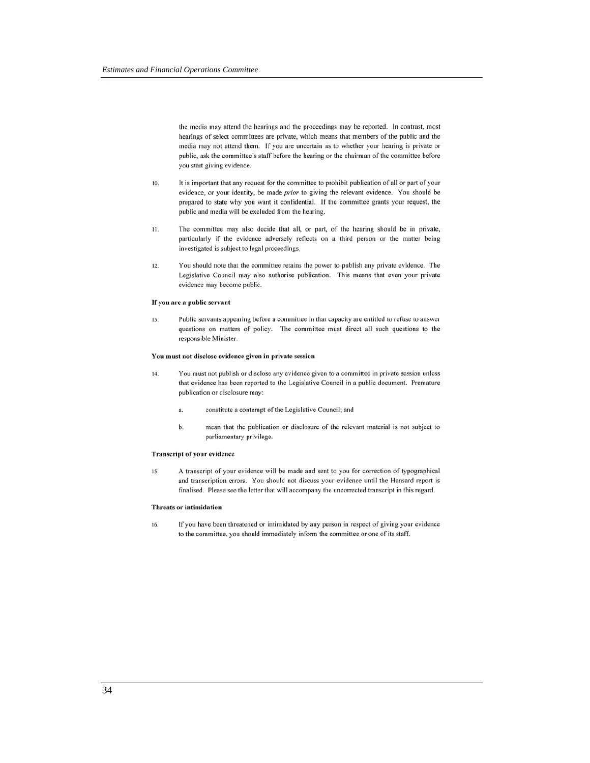the media may attend the hearings and the proceedings may be reported. In contrast, most hearings of select committees are private, which means that members of the public and the media may not attend them. If you are uncertain as to whether your hearing is private or public, ask the committee's staff before the hearing or the chairman of the committee before you start giving evidence.

- 10. It is important that any request for the committee to prohibit publication of all or part of your evidence, or your identity, be made prior to giving the relevant evidence. You should be prepared to state why you want it confidential. If the committee grants your request, the public and media will be excluded from the hearing.
- The committee may also decide that all, or part, of the hearing should be in private,  $11.$ particularly if the evidence adversely reflects on a third person or the matter being investigated is subject to legal proceedings.
- $12.$ You should note that the committee retains the power to publish any private evidence. The Legislative Council may also authorise publication. This means that even your private evidence may become public.

#### If you are a public servant

Public servants appearing before a committee in that capacity are entitled to refuse to answer  $13.$ questions on matters of policy. The committee must direct all such questions to the responsible Minister.

#### You must not disclose evidence given in private session

- $14.$ You must not publish or disclose any evidence given to a committee in private session unless that evidence has been reported to the Legislative Council in a public document. Premature publication or disclosure may:
	- constitute a contempt of the Legislative Council; and a.
	- b. mean that the publication or disclosure of the relevant material is not subject to parliamentary privilege.

#### Transcript of your evidence

A transcript of your evidence will be made and sent to you for correction of typographical  $15.$ and transcription errors. You should not discuss your evidence until the Hansard report is finalised. Please see the letter that will accompany the uncorrected transcript in this regard.

#### Threats or intimidation

If you have been threatened or intimidated by any person in respect of giving your evidence  $16.$ to the committee, you should immediately inform the committee or one of its staff.